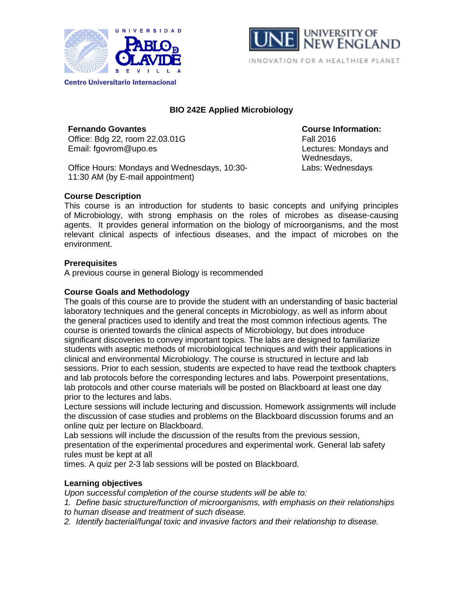



# **BIO 242E Applied Microbiology**

**Fernando Govantes Course Information:** Office: Bdg 22, room 22.03.01G Fall 2016 Email: fgovrom@upo.es example and the control of the Lectures: Mondays and

Office Hours: Mondays and Wednesdays, 10:30- 11:30 AM (by E-mail appointment)

## **Course Description**

This course is an introduction for students to basic concepts and unifying principles of Microbiology, with strong emphasis on the roles of microbes as disease-causing agents. It provides general information on the biology of microorganisms, and the most relevant clinical aspects of infectious diseases, and the impact of microbes on the environment.

#### **Prerequisites**

A previous course in general Biology is recommended

## **Course Goals and Methodology**

The goals of this course are to provide the student with an understanding of basic bacterial laboratory techniques and the general concepts in Microbiology, as well as inform about the general practices used to identify and treat the most common infectious agents. The course is oriented towards the clinical aspects of Microbiology, but does introduce significant discoveries to convey important topics. The labs are designed to familiarize students with aseptic methods of microbiological techniques and with their applications in clinical and environmental Microbiology. The course is structured in lecture and lab sessions. Prior to each session, students are expected to have read the textbook chapters and lab protocols before the corresponding lectures and labs. Powerpoint presentations, lab protocols and other course materials will be posted on Blackboard at least one day prior to the lectures and labs.

Lecture sessions will include lecturing and discussion. Homework assignments will include the discussion of case studies and problems on the Blackboard discussion forums and an online quiz per lecture on Blackboard.

Lab sessions will include the discussion of the results from the previous session, presentation of the experimental procedures and experimental work. General lab safety rules must be kept at all

times. A quiz per 2-3 lab sessions will be posted on Blackboard.

# **Learning objectives**

*Upon successful completion of the course students will be able to:*

*1. Define basic structure/function of microorganisms, with emphasis on their relationships to human disease and treatment of such disease.*

*2. Identify bacterial/fungal toxic and invasive factors and their relationship to disease.*

Wednesdays, Labs: Wednesdays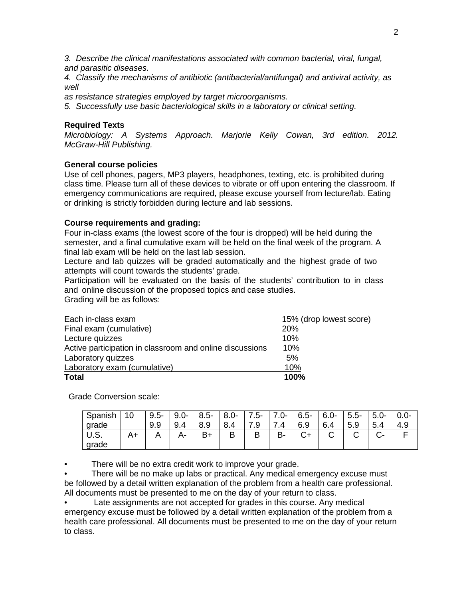*3. Describe the clinical manifestations associated with common bacterial, viral, fungal, and parasitic diseases.*

*4. Classify the mechanisms of antibiotic (antibacterial/antifungal) and antiviral activity, as well*

*as resistance strategies employed by target microorganisms.*

*5. Successfully use basic bacteriological skills in a laboratory or clinical setting.*

#### **Required Texts**

*Microbiology: A Systems Approach. Marjorie Kelly Cowan, 3rd edition. 2012. McGraw-Hill Publishing.*

#### **General course policies**

Use of cell phones, pagers, MP3 players, headphones, texting, etc. is prohibited during class time. Please turn all of these devices to vibrate or off upon entering the classroom. If emergency communications are required, please excuse yourself from lecture/lab. Eating or drinking is strictly forbidden during lecture and lab sessions.

#### **Course requirements and grading:**

Four in-class exams (the lowest score of the four is dropped) will be held during the semester, and a final cumulative exam will be held on the final week of the program. A final lab exam will be held on the last lab session.

Lecture and lab quizzes will be graded automatically and the highest grade of two attempts will count towards the students' grade.

Participation will be evaluated on the basis of the students' contribution to in class and online discussion of the proposed topics and case studies. Grading will be as follows:

| Each in-class exam                                       | 15% (drop lowest score) |
|----------------------------------------------------------|-------------------------|
| Final exam (cumulative)                                  | <b>20%</b>              |
| Lecture quizzes                                          | 10%                     |
| Active participation in classroom and online discussions | 10%                     |
| Laboratory quizzes                                       | 5%                      |
| Laboratory exam (cumulative)                             | 10%                     |
| <b>Total</b>                                             | 100%                    |

Grade Conversion scale:

| Spanish<br>grade | 10 | $9.5 -$<br>9.9 | $9.0 -$<br>9.4 | $8.5 -$<br>8.9 | $8.0 -$<br>8.4 | $.5 -$<br>ч<br>ن. | $7.0 -$ | $6.5 -$<br>6.9 | $6.0 -$<br>6.4 | $5.5 -$<br>5.9 | $5.0 -$<br>5.4 | J.O-<br>4.9 |
|------------------|----|----------------|----------------|----------------|----------------|-------------------|---------|----------------|----------------|----------------|----------------|-------------|
| U.S.<br>grade    |    |                | Δ.             | $B+$           | B              | В                 | B-      | ⌒              |                |                | - -            |             |

• There will be no extra credit work to improve your grade.

There will be no make up labs or practical. Any medical emergency excuse must be followed by a detail written explanation of the problem from a health care professional. All documents must be presented to me on the day of your return to class.

Late assignments are not accepted for grades in this course. Any medical emergency excuse must be followed by a detail written explanation of the problem from a health care professional. All documents must be presented to me on the day of your return to class.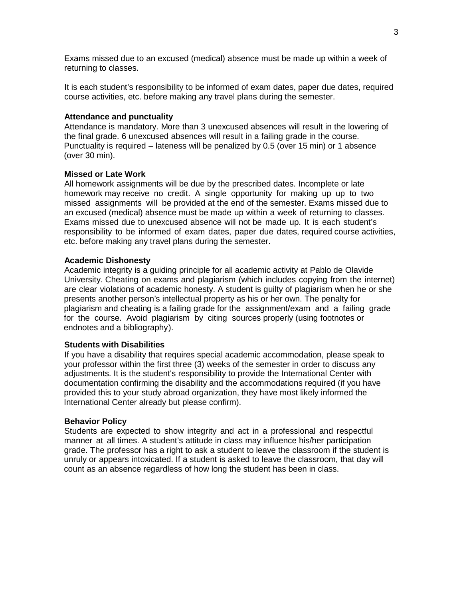Exams missed due to an excused (medical) absence must be made up within a week of returning to classes.

It is each student's responsibility to be informed of exam dates, paper due dates, required course activities, etc. before making any travel plans during the semester.

#### **Attendance and punctuality**

Attendance is mandatory. More than 3 unexcused absences will result in the lowering of the final grade. 6 unexcused absences will result in a failing grade in the course. Punctuality is required – lateness will be penalized by 0.5 (over 15 min) or 1 absence (over 30 min).

#### **Missed or Late Work**

All homework assignments will be due by the prescribed dates. Incomplete or late homework may receive no credit. A single opportunity for making up up to two missed assignments will be provided at the end of the semester. Exams missed due to an excused (medical) absence must be made up within a week of returning to classes. Exams missed due to unexcused absence will not be made up. It is each student's responsibility to be informed of exam dates, paper due dates, required course activities, etc. before making any travel plans during the semester.

#### **Academic Dishonesty**

Academic integrity is a guiding principle for all academic activity at Pablo de Olavide University. Cheating on exams and plagiarism (which includes copying from the internet) are clear violations of academic honesty. A student is guilty of plagiarism when he or she presents another person's intellectual property as his or her own. The penalty for plagiarism and cheating is a failing grade for the assignment/exam and a failing grade for the course. Avoid plagiarism by citing sources properly (using footnotes or endnotes and a bibliography).

#### **Students with Disabilities**

If you have a disability that requires special academic accommodation, please speak to your professor within the first three (3) weeks of the semester in order to discuss any adjustments. It is the student's responsibility to provide the International Center with documentation confirming the disability and the accommodations required (if you have provided this to your study abroad organization, they have most likely informed the International Center already but please confirm).

#### **Behavior Policy**

Students are expected to show integrity and act in a professional and respectful manner at all times. A student's attitude in class may influence his/her participation grade. The professor has a right to ask a student to leave the classroom if the student is unruly or appears intoxicated. If a student is asked to leave the classroom, that day will count as an absence regardless of how long the student has been in class.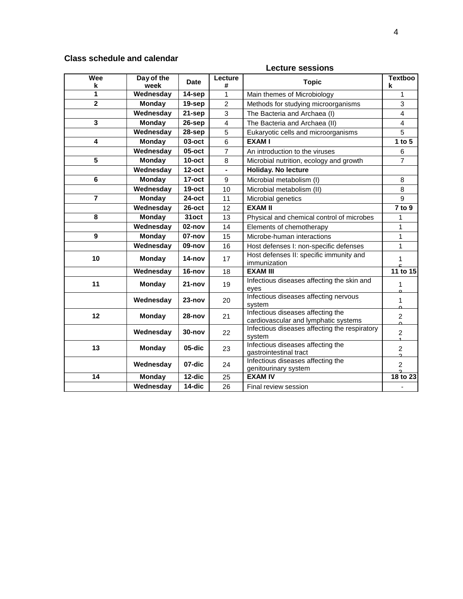# **Class schedule and calendar**

## **Lecture sessions**

| Wee<br>k         | Day of the<br>week | <b>Date</b>          | Lecture<br>#   | <b>Topic</b>                                                              | <b>Textboo</b><br>k            |
|------------------|--------------------|----------------------|----------------|---------------------------------------------------------------------------|--------------------------------|
| 1                | Wednesday          | 14-sep               | 1              | Main themes of Microbiology                                               | 1                              |
| $\overline{2}$   | <b>Monday</b>      | 19-sep               | $\overline{2}$ | Methods for studying microorganisms                                       | 3                              |
|                  | Wednesday          | 21-sep               | 3              | The Bacteria and Archaea (I)                                              | $\overline{4}$                 |
| 3                | <b>Monday</b>      | 26-sep               | $\overline{4}$ | The Bacteria and Archaea (II)                                             | $\overline{4}$                 |
|                  | Wednesday          | 28-sep               | 5              | Eukaryotic cells and microorganisms                                       | 5                              |
| 4                | <b>Monday</b>      | 03-oct               | 6              | <b>EXAMI</b>                                                              | 1 to $5$                       |
|                  | Wednesday          | $05$ -oct            | $\overline{7}$ | An introduction to the viruses                                            | 6                              |
| 5                | <b>Monday</b>      | $10$ -oct            | 8              | Microbial nutrition, ecology and growth                                   | $\overline{7}$                 |
|                  | Wednesday          | $12$ -oct            | $\blacksquare$ | Holiday. No lecture                                                       |                                |
| $6\phantom{1}6$  | <b>Monday</b>      | $17$ -oct            | 9              | Microbial metabolism (I)                                                  | 8                              |
|                  | Wednesday          | $19$ -oct            | 10             | Microbial metabolism (II)                                                 | 8                              |
| $\overline{7}$   | Monday             | $24$ -oct            | 11             | Microbial genetics                                                        | 9                              |
|                  | Wednesday          | $26$ -oct            | 12             | <b>EXAM II</b>                                                            | 7 to 9                         |
| 8                | <b>Monday</b>      | 31oct                | 13             | Physical and chemical control of microbes                                 | 1                              |
|                  | Wednesday          | 02-nov               | 14             | Elements of chemotherapy                                                  | $\mathbf{1}$                   |
| $\boldsymbol{9}$ | <b>Monday</b>      | 07-nov               | 15             | Microbe-human interactions                                                | $\mathbf{1}$                   |
|                  | Wednesday          | 09-nov               | 16             | Host defenses I: non-specific defenses                                    | 1                              |
| 10               | <b>Monday</b>      | 14-nov               | 17             | Host defenses II: specific immunity and<br>immunization                   | 1                              |
|                  | Wednesday          | $\overline{16}$ -nov | 18             | <b>EXAM III</b>                                                           | 11 to 15                       |
| 11               | Monday             | $21 - nov$           | 19             | Infectious diseases affecting the skin and<br>eyes                        | 1<br>$\circ$                   |
|                  | Wednesday          | $23 - nov$           | 20             | Infectious diseases affecting nervous<br>system                           | $\mathbf{1}$<br>$\Omega$       |
| 12               | <b>Monday</b>      | $28 - nov$           | 21             | Infectious diseases affecting the<br>cardiovascular and lymphatic systems | $\overline{2}$<br>$\Omega$     |
|                  | Wednesday          | $30 - nov$           | 22             | Infectious diseases affecting the respiratory<br>system                   | $\overline{2}$<br>4            |
| 13               | <b>Monday</b>      | 05-dic               | 23             | Infectious diseases affecting the<br>gastrointestinal tract               | $\overline{c}$<br><sub>2</sub> |
|                  | Wednesday          | 07-dic               | 24             | Infectious diseases affecting the<br>genitourinary system                 | $\overline{2}$<br><sup>o</sup> |
| 14               | <b>Monday</b>      | 12-dic               | 25             | <b>EXAM IV</b>                                                            | 18 to 23                       |
|                  | Wednesday          | 14-dic               | 26             | Final review session                                                      |                                |